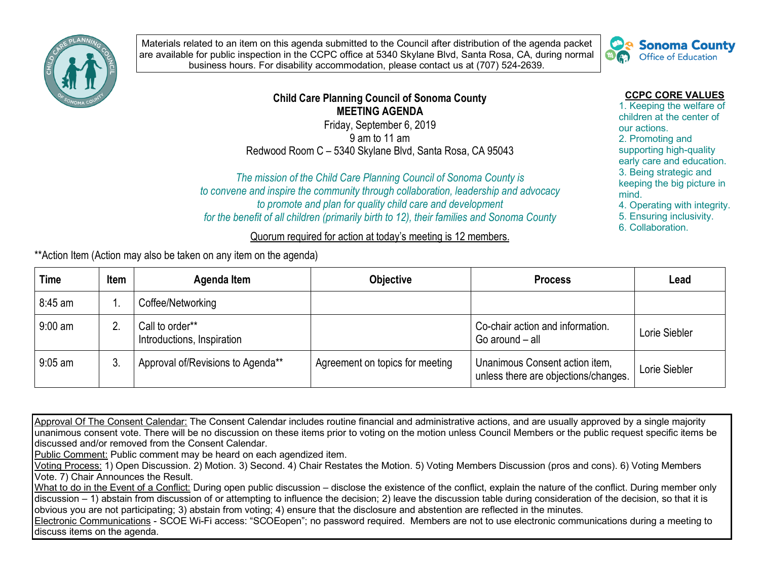

Materials related to an item on this agenda submitted to the Council after distribution of the agenda packet are available for public inspection in the CCPC office at 5340 Skylane Blvd, Santa Rosa, CA, during normal business hours. For disability accommodation, please contact us at (707) 524-2639.



## **CCPC CORE VALUES**

 children at the center of early care and education. 3. Being strategic and keeping the big picture in mind. mind.<br>4. Operating with integrity. 1. Keeping the welfare of our actions. 2. Promoting and supporting high-quality

5. Ensuring inclusivity.

6. Collaboration.

 *The mission of the Child Care Planning Council of Sonoma County is to convene and inspire the community through collaboration, leadership and advocacy to promote and plan for quality child care and development for the benefit of all children (primarily birth to 12), their families and Sonoma County* 

**Child Care Planning Council of Sonoma County MEETING AGENDA**  Friday, September 6, 2019 9 am to 11 am Redwood Room C – 5340 Skylane Blvd, Santa Rosa, CA 95043

Quorum required for action at today's meeting is 12 members.

\*\*Action Item (Action may also be taken on any item on the agenda)

| <b>Time</b> | <b>Item</b> | Agenda Item                                   | <b>Objective</b>                | <b>Process</b>                                                         | Lead          |
|-------------|-------------|-----------------------------------------------|---------------------------------|------------------------------------------------------------------------|---------------|
| 8:45 am     |             | Coffee/Networking                             |                                 |                                                                        |               |
| 9:00 am     |             | Call to order**<br>Introductions, Inspiration |                                 | Co-chair action and information.<br>Go around - all                    | Lorie Siebler |
| $9:05$ am   | -3.         | Approval of/Revisions to Agenda**             | Agreement on topics for meeting | Unanimous Consent action item,<br>unless there are objections/changes. | Lorie Siebler |

Approval Of The Consent Calendar: The Consent Calendar includes routine financial and administrative actions, and are usually approved by a single majority unanimous consent vote. There will be no discussion on these items prior to voting on the motion unless Council Members or the public request specific items be discussed and/or removed from the Consent Calendar.

Public Comment: Public comment may be heard on each agendized item.

Voting Process: 1) Open Discussion. 2) Motion. 3) Second. 4) Chair Restates the Motion. 5) Voting Members Discussion (pros and cons). 6) Voting Members Vote. 7) Chair Announces the Result.

What to do in the Event of a Conflict: During open public discussion – disclose the existence of the conflict, explain the nature of the conflict. During member only discussion – 1) abstain from discussion of or attempting to influence the decision; 2) leave the discussion table during consideration of the decision, so that it is obvious you are not participating; 3) abstain from voting; 4) ensure that the disclosure and abstention are reflected in the minutes.

Electronic Communications - SCOE Wi-Fi access: "SCOEopen"; no password required. Members are not to use electronic communications during a meeting to discuss items on the agenda.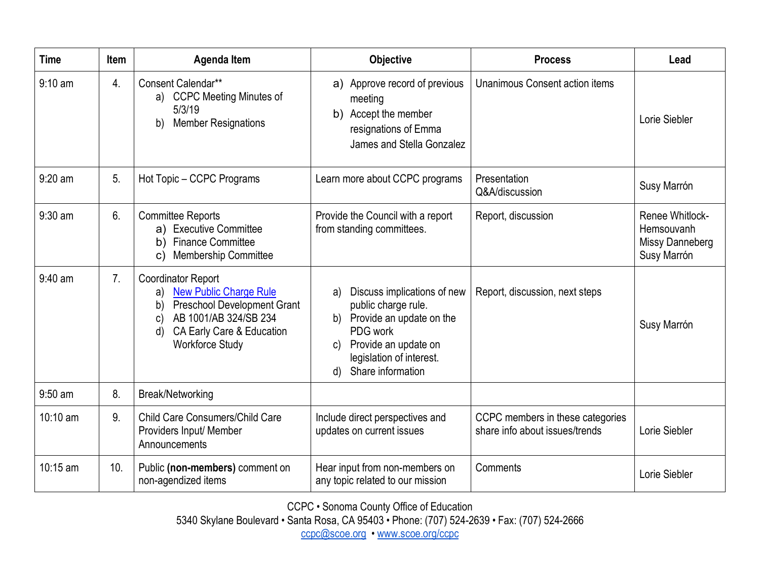| <b>Time</b> | <b>Item</b>      | <b>Agenda Item</b>                                                                                                                                                                                       | <b>Objective</b>                                                                                                                                                                                      | <b>Process</b>                                                     | Lead                                                                   |
|-------------|------------------|----------------------------------------------------------------------------------------------------------------------------------------------------------------------------------------------------------|-------------------------------------------------------------------------------------------------------------------------------------------------------------------------------------------------------|--------------------------------------------------------------------|------------------------------------------------------------------------|
| $9:10$ am   | $\overline{4}$ . | Consent Calendar**<br>a) CCPC Meeting Minutes of<br>5/3/19<br><b>Member Resignations</b><br>b)                                                                                                           | a) Approve record of previous<br>meeting<br>b) Accept the member<br>resignations of Emma<br>James and Stella Gonzalez                                                                                 | Unanimous Consent action items                                     | Lorie Siebler                                                          |
| $9:20$ am   | 5.               | Hot Topic - CCPC Programs                                                                                                                                                                                | Learn more about CCPC programs                                                                                                                                                                        | Presentation<br>Q&A/discussion                                     | Susy Marrón                                                            |
| 9:30 am     | 6.               | <b>Committee Reports</b><br><b>Executive Committee</b><br>a)<br><b>Finance Committee</b><br>b)<br><b>Membership Committee</b><br>C)                                                                      | Provide the Council with a report<br>from standing committees.                                                                                                                                        | Report, discussion                                                 | <b>Renee Whitlock-</b><br>Hemsouvanh<br>Missy Danneberg<br>Susy Marrón |
| 9:40 am     | 7 <sub>1</sub>   | <b>Coordinator Report</b><br><b>New Public Charge Rule</b><br>a)<br><b>Preschool Development Grant</b><br>b)<br>AB 1001/AB 324/SB 234<br>C)<br>CA Early Care & Education<br>d)<br><b>Workforce Study</b> | Discuss implications of new<br>a)<br>public charge rule.<br>Provide an update on the<br>b)<br>PDG work<br>Provide an update on<br>C)<br>legislation of interest.<br>Share information<br>$\mathsf{d}$ | Report, discussion, next steps                                     | Susy Marrón                                                            |
| 9:50 am     | 8.               | Break/Networking                                                                                                                                                                                         |                                                                                                                                                                                                       |                                                                    |                                                                        |
| 10:10 am    | 9.               | Child Care Consumers/Child Care<br>Providers Input/ Member<br>Announcements                                                                                                                              | Include direct perspectives and<br>updates on current issues                                                                                                                                          | CCPC members in these categories<br>share info about issues/trends | Lorie Siebler                                                          |
| $10:15$ am  | 10.              | Public (non-members) comment on<br>non-agendized items                                                                                                                                                   | Hear input from non-members on<br>any topic related to our mission                                                                                                                                    | Comments                                                           | Lorie Siebler                                                          |

CCPC • Sonoma County Office of Education

5340 Skylane Boulevard • Santa Rosa, CA 95403 • Phone: (707) 524-2639 • Fax: (707) 524-2666

[ccpc@scoe.org](mailto:ccpc@scoe.org) •<www.scoe.org/ccpc>